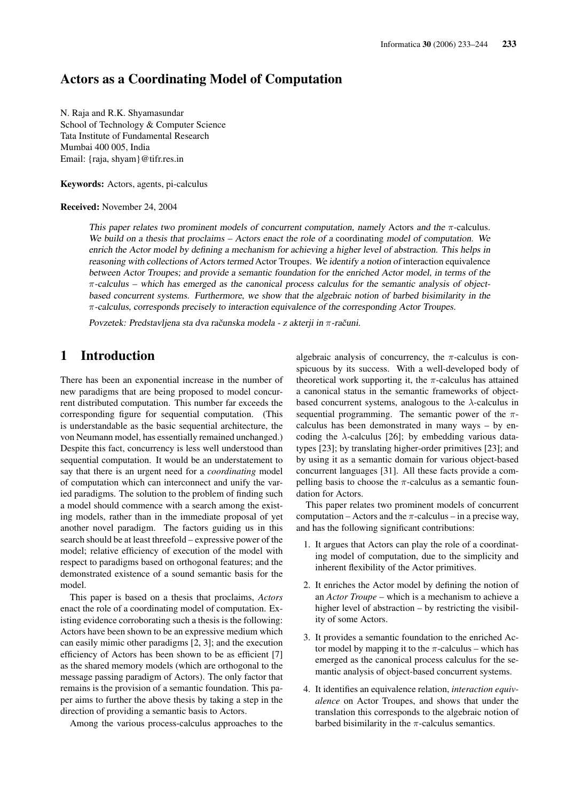# Actors as a Coordinating Model of Computation

N. Raja and R.K. Shyamasundar School of Technology & Computer Science Tata Institute of Fundamental Research Mumbai 400 005, India Email: {raja, shyam}@tifr.res.in

Keywords: Actors, agents, pi-calculus

Received: November 24, 2004

This paper relates two prominent models of concurrent computation, namely Actors and the  $\pi$ -calculus. We build on <sup>a</sup> thesis that proclaims – Actors enact the role of <sup>a</sup> coordinating model of computation. We enrich the Actor model by defining <sup>a</sup> mechanism for achieving <sup>a</sup> higher level of abstraction. This helps in reasoning with collections of Actors termed Actor Troupes. We identify <sup>a</sup> notion of interaction equivalence between Actor Troupes; and provide <sup>a</sup> semantic foundation for the enriched Actor model, in terms of the  $\pi$ -calculus – which has emerged as the canonical process calculus for the semantic analysis of objectbased concurrent systems. Furthermore, we show that the algebraic notion of barbed bisimilarity in the π-calculus, corresponds precisely to interaction equivalence of the corresponding Actor Troupes.

Povzetek: Predstavljena sta dva računska modela - z akterji in  $\pi$ -računi.

# 1 Introduction

There has been an exponential increase in the number of new paradigms that are being proposed to model concurrent distributed computation. This number far exceeds the corresponding figure for sequential computation. (This is understandable as the basic sequential architecture, the von Neumann model, has essentially remained unchanged.) Despite this fact, concurrency is less well understood than sequential computation. It would be an understatement to say that there is an urgent need for a *coordinating* model of computation which can interconnect and unify the varied paradigms. The solution to the problem of finding such a model should commence with a search among the existing models, rather than in the immediate proposal of yet another novel paradigm. The factors guiding us in this search should be at least threefold – expressive power of the model; relative efficiency of execution of the model with respect to paradigms based on orthogonal features; and the demonstrated existence of a sound semantic basis for the model.

This paper is based on a thesis that proclaims, *Actors* enact the role of a coordinating model of computation. Existing evidence corroborating such a thesis is the following: Actors have been shown to be an expressive medium which can easily mimic other paradigms [2, 3]; and the execution efficiency of Actors has been shown to be as efficient [7] as the shared memory models (which are orthogonal to the message passing paradigm of Actors). The only factor that remains is the provision of a semantic foundation. This paper aims to further the above thesis by taking a step in the direction of providing a semantic basis to Actors.

Among the various process-calculus approaches to the

algebraic analysis of concurrency, the  $\pi$ -calculus is conspicuous by its success. With a well-developed body of theoretical work supporting it, the  $\pi$ -calculus has attained a canonical status in the semantic frameworks of objectbased concurrent systems, analogous to the  $\lambda$ -calculus in sequential programming. The semantic power of the  $\pi$ calculus has been demonstrated in many ways – by encoding the  $\lambda$ -calculus [26]; by embedding various datatypes [23]; by translating higher-order primitives [23]; and by using it as a semantic domain for various object-based concurrent languages [31]. All these facts provide a compelling basis to choose the  $\pi$ -calculus as a semantic foundation for Actors.

This paper relates two prominent models of concurrent computation – Actors and the  $\pi$ -calculus – in a precise way, and has the following significant contributions:

- 1. It argues that Actors can play the role of a coordinating model of computation, due to the simplicity and inherent flexibility of the Actor primitives.
- 2. It enriches the Actor model by defining the notion of an *Actor Troupe* – which is a mechanism to achieve a higher level of abstraction – by restricting the visibility of some Actors.
- 3. It provides a semantic foundation to the enriched Actor model by mapping it to the  $\pi$ -calculus – which has emerged as the canonical process calculus for the semantic analysis of object-based concurrent systems.
- 4. It identifies an equivalence relation, *interaction equivalence* on Actor Troupes, and shows that under the translation this corresponds to the algebraic notion of barbed bisimilarity in the  $\pi$ -calculus semantics.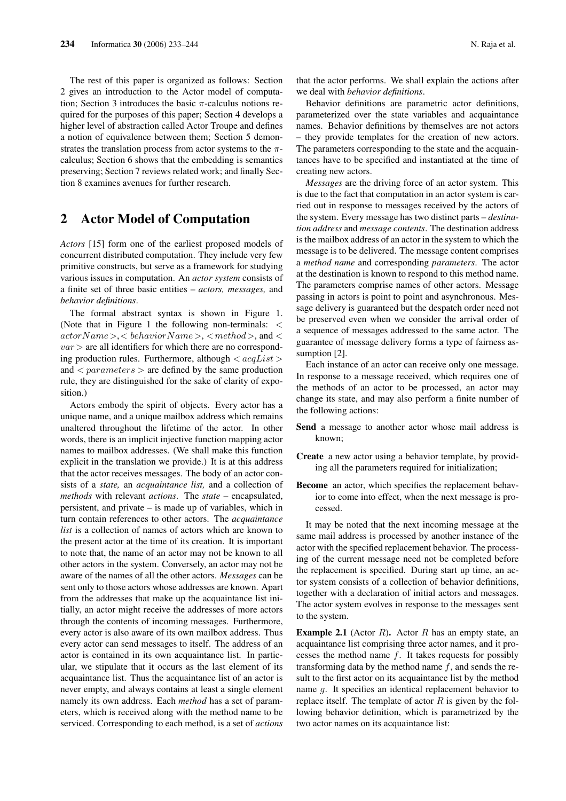The rest of this paper is organized as follows: Section 2 gives an introduction to the Actor model of computation; Section 3 introduces the basic  $\pi$ -calculus notions required for the purposes of this paper; Section 4 develops a higher level of abstraction called Actor Troupe and defines a notion of equivalence between them; Section 5 demonstrates the translation process from actor systems to the  $\pi$ calculus; Section 6 shows that the embedding is semantics preserving; Section 7 reviews related work; and finally Section 8 examines avenues for further research.

# 2 Actor Model of Computation

*Actors* [15] form one of the earliest proposed models of concurrent distributed computation. They include very few primitive constructs, but serve as a framework for studying various issues in computation. An *actor system* consists of a finite set of three basic entities – *actors, messages,* and *behavior definitions*.

The formal abstract syntax is shown in Figure 1. (Note that in Figure 1 the following non-terminals: <  $actorName >$ ,  $\lt$  behavior  $Name >$ ,  $\lt$  method  $>$ , and  $\lt$  $var$  are all identifiers for which there are no corresponding production rules. Furthermore, although  $\langle acqList \rangle$ and  $\langle parameters \rangle$  are defined by the same production rule, they are distinguished for the sake of clarity of exposition.)

Actors embody the spirit of objects. Every actor has a unique name, and a unique mailbox address which remains unaltered throughout the lifetime of the actor. In other words, there is an implicit injective function mapping actor names to mailbox addresses. (We shall make this function explicit in the translation we provide.) It is at this address that the actor receives messages. The body of an actor consists of a *state,* an *acquaintance list,* and a collection of *methods* with relevant *actions*. The *state* – encapsulated, persistent, and private – is made up of variables, which in turn contain references to other actors. The *acquaintance list* is a collection of names of actors which are known to the present actor at the time of its creation. It is important to note that, the name of an actor may not be known to all other actors in the system. Conversely, an actor may not be aware of the names of all the other actors. *Messages* can be sent only to those actors whose addresses are known. Apart from the addresses that make up the acquaintance list initially, an actor might receive the addresses of more actors through the contents of incoming messages. Furthermore, every actor is also aware of its own mailbox address. Thus every actor can send messages to itself. The address of an actor is contained in its own acquaintance list. In particular, we stipulate that it occurs as the last element of its acquaintance list. Thus the acquaintance list of an actor is never empty, and always contains at least a single element namely its own address. Each *method* has a set of parameters, which is received along with the method name to be serviced. Corresponding to each method, is a set of *actions*

Behavior definitions are parametric actor definitions, parameterized over the state variables and acquaintance names. Behavior definitions by themselves are not actors – they provide templates for the creation of new actors. The parameters corresponding to the state and the acquaintances have to be specified and instantiated at the time of creating new actors.

*Messages* are the driving force of an actor system. This is due to the fact that computation in an actor system is carried out in response to messages received by the actors of the system. Every message has two distinct parts – *destination address* and *message contents*. The destination address is the mailbox address of an actor in the system to which the message is to be delivered. The message content comprises a *method name* and corresponding *parameters*. The actor at the destination is known to respond to this method name. The parameters comprise names of other actors. Message passing in actors is point to point and asynchronous. Message delivery is guaranteed but the despatch order need not be preserved even when we consider the arrival order of a sequence of messages addressed to the same actor. The guarantee of message delivery forms a type of fairness assumption [2].

Each instance of an actor can receive only one message. In response to a message received, which requires one of the methods of an actor to be processed, an actor may change its state, and may also perform a finite number of the following actions:

- Send a message to another actor whose mail address is known;
- Create a new actor using a behavior template, by providing all the parameters required for initialization;
- Become an actor, which specifies the replacement behavior to come into effect, when the next message is processed.

It may be noted that the next incoming message at the same mail address is processed by another instance of the actor with the specified replacement behavior. The processing of the current message need not be completed before the replacement is specified. During start up time, an actor system consists of a collection of behavior definitions, together with a declaration of initial actors and messages. The actor system evolves in response to the messages sent to the system.

**Example 2.1** (Actor R). Actor R has an empty state, an acquaintance list comprising three actor names, and it processes the method name  $f$ . It takes requests for possibly transforming data by the method name  $f$ , and sends the result to the first actor on its acquaintance list by the method name g. It specifies an identical replacement behavior to replace itself. The template of actor  $R$  is given by the following behavior definition, which is parametrized by the two actor names on its acquaintance list: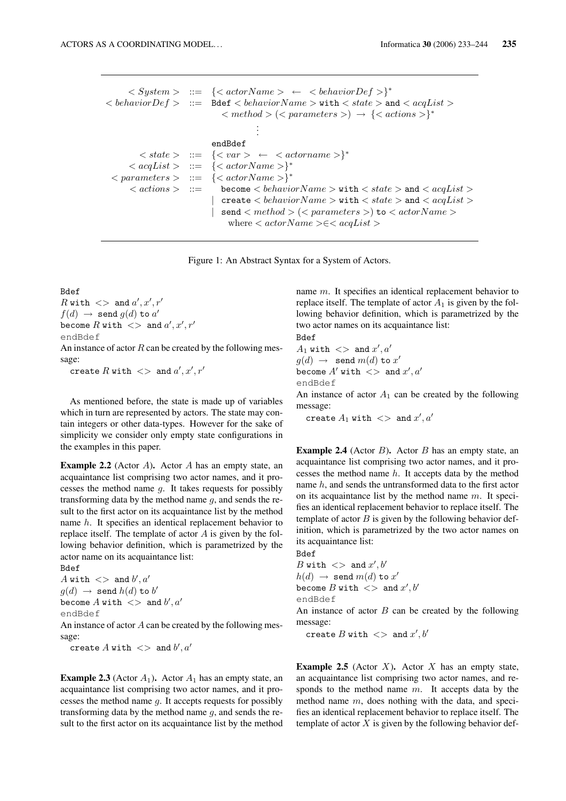```
\langle System \rangle ::= \{ \langle actorName \rangle \leftarrow \langle behaviorDef \rangle \}^*\langle behavior Def > ::= Bdef \langle behavior Name > with \langle state > and \langle acqList >\langle x \rangle \langle y \rangle \langle z \rangle \langle z \rangle + { \langle x \rangle \langle x \rangle \langle z \rangle * { \langle x \rangle actions > }
                                                   .
                                                   .
                                                   .
                                 endBdef
    \langle state \rangle ::= {\langle var \rangle \leftarrow \langle actonname \rangle}*
\langle \alpha aqList \rangle ::= \{\langle \alpha actorName \rangle \}^*\langle parameters \rangle ::=
                                \{<actorName>\}^*\langle \text{actions} \rangle ::= become \langle \text{behaviorName} \rangle with \langle \text{state} \rangle and \langle \text{acqList} \rangle| create \langle behavior Name > with \langle state > and \langle acqList >| send \langle method \rangle (\langle parameters \rangle) to \langle actor Name \ranglewhere \langle \textit{actorName} \rangle \in \langle \textit{acqList} \rangle
```
Figure 1: An Abstract Syntax for a System of Actors.

Bdef  $R$  with  $\langle \rangle$  and  $a', x', r'$  $f(d) \rightarrow$  send  $g(d)$  to  $a'$ become  $R$  with  $\langle \rangle$  and  $a', x', r'$ endBdef

An instance of actor  $R$  can be created by the following message:

create  $R$  with  $\langle \rangle$  and  $a', x', r'$ 

As mentioned before, the state is made up of variables which in turn are represented by actors. The state may contain integers or other data-types. However for the sake of simplicity we consider only empty state configurations in the examples in this paper.

**Example 2.2** (Actor A). Actor A has an empty state, an acquaintance list comprising two actor names, and it processes the method name  $q$ . It takes requests for possibly transforming data by the method name  $q$ , and sends the result to the first actor on its acquaintance list by the method name h. It specifies an identical replacement behavior to replace itself. The template of actor  $A$  is given by the following behavior definition, which is parametrized by the actor name on its acquaintance list:

Bdef A with  $\langle \rangle$  and  $b', a'$  $g(d) \rightarrow$  send  $h(d)$  to  $b'$ become  $A$  with  $\langle \rangle$  and  $b', a'$ endBdef

An instance of actor  $A$  can be created by the following message:

create  $A$  with  $\langle \rangle$  and  $b', a'$ 

**Example 2.3** (Actor  $A_1$ ). Actor  $A_1$  has an empty state, an acquaintance list comprising two actor names, and it processes the method name  $g$ . It accepts requests for possibly transforming data by the method name  $q$ , and sends the result to the first actor on its acquaintance list by the method

name m. It specifies an identical replacement behavior to replace itself. The template of actor  $A_1$  is given by the following behavior definition, which is parametrized by the two actor names on its acquaintance list:

Bdef  $A_1$  with  $\langle \rangle$  and  $x', a'$  $g(d) \rightarrow$  send  $m(d)$  to  $x'$ become  $A'$  with  $\langle \ \rangle$  and  $x', a'$ endBdef An instance of actor  $A_1$  can be created by the following message:

create  $A_1$  with  $\langle \rangle$  and  $x', a'$ 

**Example 2.4** (Actor  $B$ ). Actor  $B$  has an empty state, an acquaintance list comprising two actor names, and it processes the method name  $h$ . It accepts data by the method name h, and sends the untransformed data to the first actor on its acquaintance list by the method name  $m$ . It specifies an identical replacement behavior to replace itself. The template of actor  $B$  is given by the following behavior definition, which is parametrized by the two actor names on its acquaintance list:

Bdef  $B$  with  $\langle \rangle$  and  $x', b'$  $h(d) \rightarrow$  send  $m(d)$  to  $x'$ become  $B$  with  $\,>>\,$  and  $x',b'$ endBdef

An instance of actor  $B$  can be created by the following message:

create  $B$  with  $\langle \rangle$  and  $x', b'$ 

**Example 2.5** (Actor  $X$ ). Actor  $X$  has an empty state, an acquaintance list comprising two actor names, and responds to the method name  $m$ . It accepts data by the method name  $m$ , does nothing with the data, and specifies an identical replacement behavior to replace itself. The template of actor  $X$  is given by the following behavior def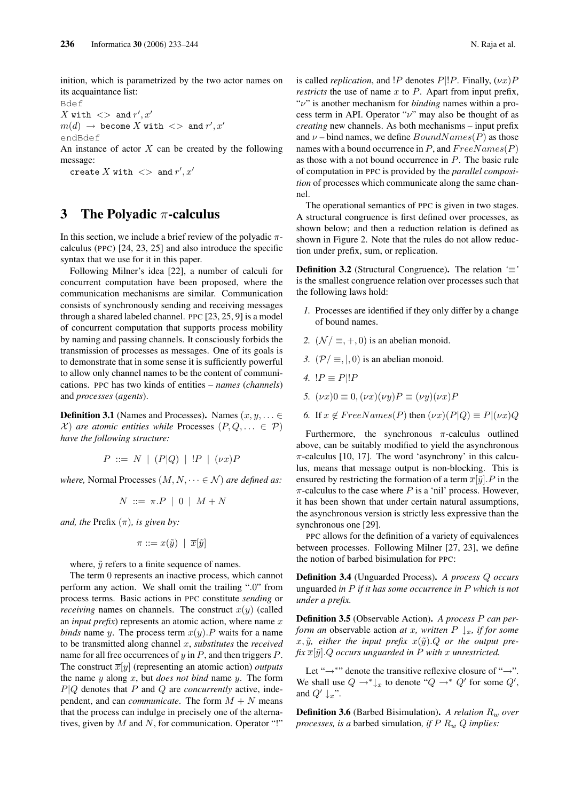inition, which is parametrized by the two actor names on its acquaintance list:

Bdef X with  $\langle \rangle$  and  $r', x'$  $m(d)$   $\;\rightarrow$  become  $X$  with  $\;$   $\;$   $\;$  and  $r',x'$ endBdef

An instance of actor  $X$  can be created by the following message:

create X with  $\langle \rangle$  and  $r', x'$ 

# 3 The Polyadic  $\pi$ -calculus

In this section, we include a brief review of the polyadic  $\pi$ calculus (PPC) [24, 23, 25] and also introduce the specific syntax that we use for it in this paper.

Following Milner's idea [22], a number of calculi for concurrent computation have been proposed, where the communication mechanisms are similar. Communication consists of synchronously sending and receiving messages through a shared labeled channel. PPC [23, 25, 9] is a model of concurrent computation that supports process mobility by naming and passing channels. It consciously forbids the transmission of processes as messages. One of its goals is to demonstrate that in some sense it is sufficiently powerful to allow only channel names to be the content of communications. PPC has two kinds of entities – *names* (*channels*) and *processes* (*agents*).

**Definition 3.1** (Names and Processes). Names  $(x, y, \dots \in$  $(X)$  are atomic entities while Processes  $(P, Q, \dots \in \mathcal{P})$ *have the following structure:*

$$
P ::= N | (P|Q) | P | (\nu x)P
$$

*where,* Normal Processes  $(M, N, \dots \in \mathcal{N})$  *are defined as:* 

$$
N ::= \pi.P \mid 0 \mid M+N
$$

*and, the* Prefix  $(\pi)$ *, is given by:* 

$$
\pi ::= x(\tilde{y}) \mid \overline{x}[\tilde{y}]
$$

where,  $\tilde{y}$  refers to a finite sequence of names.

The term 0 represents an inactive process, which cannot perform any action. We shall omit the trailing ".0" from process terms. Basic actions in PPC constitute *sending* or *receiving* names on channels. The construct  $x(y)$  (called an *input prefix*) represents an atomic action, where name  $x$ *binds* name y. The process term  $x(y)$ . P waits for a name to be transmitted along channel x, *substitutes* the *received* name for all free occurrences of  $y$  in  $P$ , and then triggers  $P$ . The construct  $\overline{x}[y]$  (representing an atomic action) *outputs* the name y along x, but *does not bind* name y. The form  $P|Q$  denotes that  $P$  and  $Q$  are *concurrently* active, independent, and can *communicate*. The form  $M + N$  means that the process can indulge in precisely one of the alternatives, given by  $M$  and  $N$ , for communication. Operator "!"

is called *replication*, and  $\overline{P}$  denotes  $P\overline{P}$ . Finally,  $(\nu x)P$ *restricts* the use of name  $x$  to  $P$ . Apart from input prefix, "ν" is another mechanism for *binding* names within a process term in API. Operator " $\nu$ " may also be thought of as *creating* new channels. As both mechanisms – input prefix and  $\nu$  – bind names, we define  $BoundNames(P)$  as those names with a bound occurrence in P, and  $FreeNames(P)$ as those with a not bound occurrence in P. The basic rule of computation in PPC is provided by the *parallel composition* of processes which communicate along the same channel.

The operational semantics of PPC is given in two stages. A structural congruence is first defined over processes, as shown below; and then a reduction relation is defined as shown in Figure 2. Note that the rules do not allow reduction under prefix, sum, or replication.

Definition 3.2 (Structural Congruence). The relation *'*≡*'* is the smallest congruence relation over processes such that the following laws hold:

- *1.* Processes are identified if they only differ by a change of bound names.
- 2.  $(\mathcal{N}/\equiv, +, 0)$  is an abelian monoid.
- *3.*  $(\mathcal{P}/\equiv, \vert, 0)$  is an abelian monoid.
- *4.*  $!P \equiv P|!P$
- *5.*  $(\nu x)0 \equiv 0, (\nu x)(\nu y)P \equiv (\nu y)(\nu x)P$
- *6.* If  $x \notin FreeNames(P)$  then  $(\nu x)(P|Q) \equiv P|(\nu x)Q$

Furthermore, the synchronous  $\pi$ -calculus outlined above, can be suitably modified to yield the asynchronous  $\pi$ -calculus [10, 17]. The word 'asynchrony' in this calculus, means that message output is non-blocking. This is ensured by restricting the formation of a term  $\overline{x}[\tilde{y}]$ . P in the  $\pi$ -calculus to the case where P is a 'nil' process. However, it has been shown that under certain natural assumptions, the asynchronous version is strictly less expressive than the synchronous one [29].

PPC allows for the definition of a variety of equivalences between processes. Following Milner [27, 23], we define the notion of barbed bisimulation for PPC:

Definition 3.4 (Unguarded Process). *A process* Q *occurs* unguarded *in* P *if it has some occurrence in* P *which is not under a prefix.*

Definition 3.5 (Observable Action). *A process* P *can perform an* observable action *at* x, written  $P \downarrow_x$ , if for some  $x, \tilde{y}$ *, either the input prefix*  $x(\tilde{y})$ . Q *or the output pre* $fix \overline{x}[\tilde{y}]$ . *Q occurs* unguarded in *P* with *x* unrestricted.

Let "→<sup>∗</sup>" denote the transitive reflexive closure of "→". We shall use  $Q \to^* \downarrow_x$  to denote " $Q \to^* Q'$  for some  $Q'$ , and  $Q' \perp r$ ".

**Definition 3.6** (Barbed Bisimulation). A relation  $R_w$  over *processes, is a* barbed simulation*, if* P R<sup>w</sup> Q *implies:*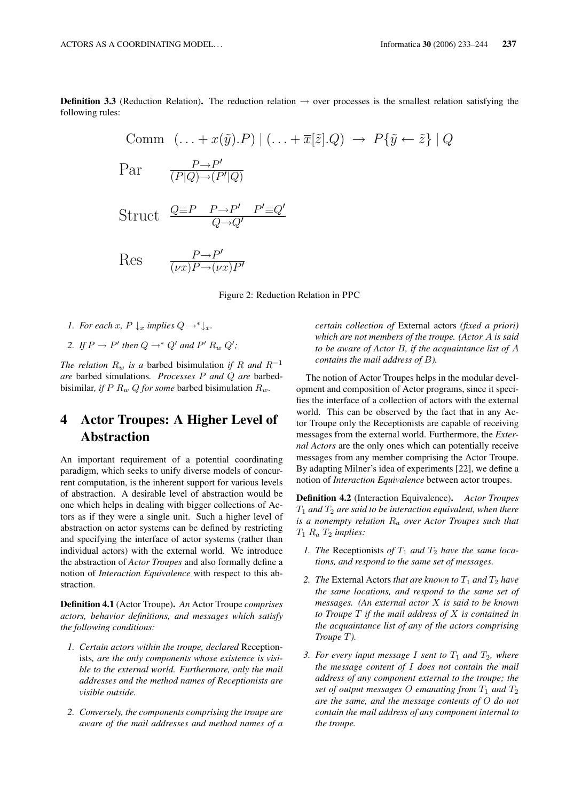**Definition 3.3** (Reduction Relation). The reduction relation  $\rightarrow$  over processes is the smallest relation satisfying the following rules:

$$
\text{Comm} \left( \dots + x(\tilde{y}).P \right) \mid \left( \dots + \overline{x}[\tilde{z}].Q \right) \to P\{\tilde{y} \leftarrow \tilde{z}\} \mid Q
$$
\n
$$
\text{Par} \quad \frac{P \to P'}{(P|Q) \to (P'|Q)}
$$

$$
Struct \quad \frac{Q \equiv P \quad P \rightarrow P' \quad P' \equiv Q'}{Q \rightarrow Q'}
$$

 $Res \frac{P \rightarrow P'}{\frac{P \rightarrow P'}{\frac{P}{P \rightarrow P'}}$  $\overline{(vx)P\rightarrow(vx)P'}$ 

Figure 2: Reduction Relation in PPC

- *1. For each* x,  $P \downarrow_x$  *implies*  $Q \rightarrow^* \downarrow_x$ *.*
- 2. If  $P \to P'$  then  $Q \to^* Q'$  and  $P' R_w Q'$ ;

*The relation*  $R_w$  *is a* barbed bisimulation *if* R and  $R^{-1}$ *are* barbed simulations*. Processes* P *and* Q *are* barbedbisimilar, if P  $R_w Q$  for some barbed bisimulation  $R_w$ .

# 4 Actor Troupes: A Higher Level of Abstraction

An important requirement of a potential coordinating paradigm, which seeks to unify diverse models of concurrent computation, is the inherent support for various levels of abstraction. A desirable level of abstraction would be one which helps in dealing with bigger collections of Actors as if they were a single unit. Such a higher level of abstraction on actor systems can be defined by restricting and specifying the interface of actor systems (rather than individual actors) with the external world. We introduce the abstraction of *Actor Troupes* and also formally define a notion of *Interaction Equivalence* with respect to this abstraction.

Definition 4.1 (Actor Troupe). *An* Actor Troupe *comprises actors, behavior definitions, and messages which satisfy the following conditions:*

- *1. Certain actors within the troupe, declared* Receptionists*, are the only components whose existence is visible to the external world. Furthermore, only the mail addresses and the method names of Receptionists are visible outside.*
- *2. Conversely, the components comprising the troupe are aware of the mail addresses and method names of a*

*certain collection of* External actors *(fixed a priori) which are not members of the troupe. (Actor* A *is said to be aware of Actor* B*, if the acquaintance list of* A *contains the mail address of* B*).*

The notion of Actor Troupes helps in the modular development and composition of Actor programs, since it specifies the interface of a collection of actors with the external world. This can be observed by the fact that in any Actor Troupe only the Receptionists are capable of receiving messages from the external world. Furthermore, the *External Actors* are the only ones which can potentially receive messages from any member comprising the Actor Troupe. By adapting Milner's idea of experiments [22], we define a notion of *Interaction Equivalence* between actor troupes.

Definition 4.2 (Interaction Equivalence). *Actor Troupes*  $T_1$  and  $T_2$  are said to be interaction equivalent, when there *is a nonempty relation* R<sup>a</sup> *over Actor Troupes such that* T<sup>1</sup> R<sup>a</sup> T<sup>2</sup> *implies:*

- *1. The* Receptionists of  $T_1$  and  $T_2$  have the same loca*tions, and respond to the same set of messages.*
- *2. The* External Actors *that are known to*  $T_1$  *and*  $T_2$  *have the same locations, and respond to the same set of messages. (An external actor* X *is said to be known to Troupe* T *if the mail address of* X *is contained in the acquaintance list of any of the actors comprising Troupe* T*).*
- *3. For every input message I sent to*  $T_1$  *and*  $T_2$ *, where the message content of* I *does not contain the mail address of any component external to the troupe; the set of output messages O emanating from*  $T_1$  *and*  $T_2$ *are the same, and the message contents of* O *do not contain the mail address of any component internal to the troupe.*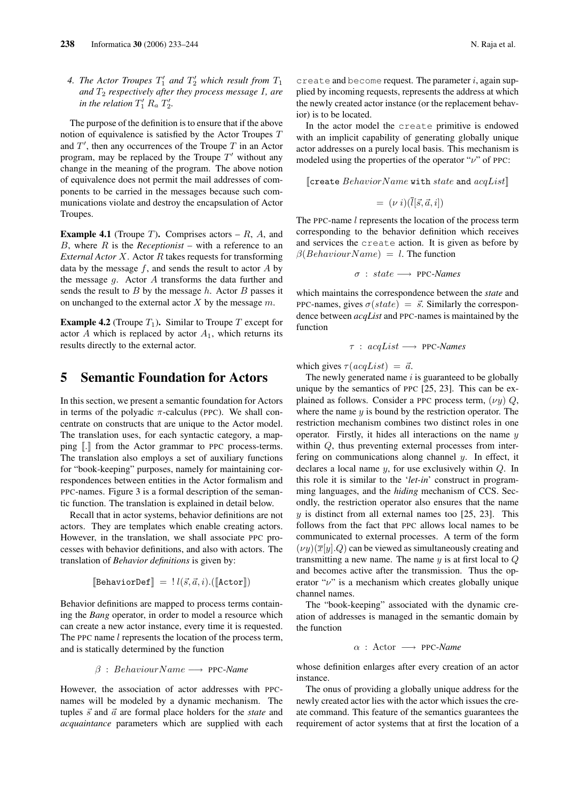4. The Actor Troupes  $T_1'$  and  $T_2'$  which result from  $T_1$ *and*  $T_2$  *respectively after they process message I, are in the relation*  $T_1'$   $R_a$   $T_2'$ .

The purpose of the definition is to ensure that if the above notion of equivalence is satisfied by the Actor Troupes T and  $T'$ , then any occurrences of the Troupe  $T$  in an Actor program, may be replaced by the Troupe  $T'$  without any change in the meaning of the program. The above notion of equivalence does not permit the mail addresses of components to be carried in the messages because such communications violate and destroy the encapsulation of Actor Troupes.

**Example 4.1** (Troupe  $T$ ). Comprises actors  $-R$ ,  $A$ , and B, where R is the *Receptionist* – with a reference to an *External Actor* X. Actor R takes requests for transforming data by the message  $f$ , and sends the result to actor  $A$  by the message  $q$ . Actor A transforms the data further and sends the result to  $B$  by the message  $h$ . Actor  $B$  passes it on unchanged to the external actor  $X$  by the message  $m$ .

**Example 4.2** (Troupe  $T_1$ ). Similar to Troupe T except for actor A which is replaced by actor  $A_1$ , which returns its results directly to the external actor.

### 5 Semantic Foundation for Actors

In this section, we present a semantic foundation for Actors in terms of the polyadic  $\pi$ -calculus (PPC). We shall concentrate on constructs that are unique to the Actor model. The translation uses, for each syntactic category, a mapping  $\lbrack \cdot \rbrack$  from the Actor grammar to PPC process-terms. The translation also employs a set of auxiliary functions for "book-keeping" purposes, namely for maintaining correspondences between entities in the Actor formalism and PPC-names. Figure 3 is a formal description of the semantic function. The translation is explained in detail below.

Recall that in actor systems, behavior definitions are not actors. They are templates which enable creating actors. However, in the translation, we shall associate PPC processes with behavior definitions, and also with actors. The translation of *Behavior definitions* is given by:

$$
[\text{BehaviorDef}] = ! \, l(\vec{s}, \vec{a}, i).([\text{factor}])
$$

Behavior definitions are mapped to process terms containing the *Bang* operator, in order to model a resource which can create a new actor instance, every time it is requested. The PPC name *l* represents the location of the process term, and is statically determined by the function

$$
\beta
$$
:  $BehaviorName \longrightarrow \text{PPC-Name}$ 

However, the association of actor addresses with PPCnames will be modeled by a dynamic mechanism. The tuples  $\vec{s}$  and  $\vec{a}$  are formal place holders for the *state* and *acquaintance* parameters which are supplied with each

create and become request. The parameter  $i$ , again supplied by incoming requests, represents the address at which the newly created actor instance (or the replacement behavior) is to be located.

In the actor model the create primitive is endowed with an implicit capability of generating globally unique actor addresses on a purely local basis. This mechanism is modeled using the properties of the operator " $\nu$ " of PPC:

 $[$  Create  $BehaviorName$  with state and  $acqList[]$ 

$$
= (\nu i)(\overline{l}[\vec{s}, \vec{a}, i])
$$

The PPC-name *l* represents the location of the process term corresponding to the behavior definition which receives and services the create action. It is given as before by  $\beta$ (*BehaviourName*) = *l*. The function

$$
\sigma\ :\ state\longrightarrow\ \texttt{PPC-Names}
$$

which maintains the correspondence between the *state* and PPC-names, gives  $\sigma(state) = \vec{s}$ . Similarly the correspondence between *acqList* and PPC-names is maintained by the function

$$
\tau : acqList \longrightarrow \text{PPC-Names}
$$

which gives  $\tau(acaList) = \vec{a}$ .

The newly generated name  $i$  is guaranteed to be globally unique by the semantics of PPC [25, 23]. This can be explained as follows. Consider a PPC process term,  $(\nu y) Q$ , where the name  $y$  is bound by the restriction operator. The restriction mechanism combines two distinct roles in one operator. Firstly, it hides all interactions on the name  $y$ within Q, thus preventing external processes from interfering on communications along channel y. In effect, it declares a local name  $y$ , for use exclusively within  $Q$ . In this role it is similar to the '*let-in*' construct in programming languages, and the *hiding* mechanism of CCS. Secondly, the restriction operator also ensures that the name  $y$  is distinct from all external names too [25, 23]. This follows from the fact that PPC allows local names to be communicated to external processes. A term of the form  $(\nu y)(\overline{x}[y].Q)$  can be viewed as simultaneously creating and transmitting a new name. The name  $y$  is at first local to  $Q$ and becomes active after the transmission. Thus the operator " $\nu$ " is a mechanism which creates globally unique channel names.

The "book-keeping" associated with the dynamic creation of addresses is managed in the semantic domain by the function

$$
\alpha\ :\ \text{Actor}\ \longrightarrow\ \text{PPC-Name}
$$

whose definition enlarges after every creation of an actor instance.

The onus of providing a globally unique address for the newly created actor lies with the actor which issues the create command. This feature of the semantics guarantees the requirement of actor systems that at first the location of a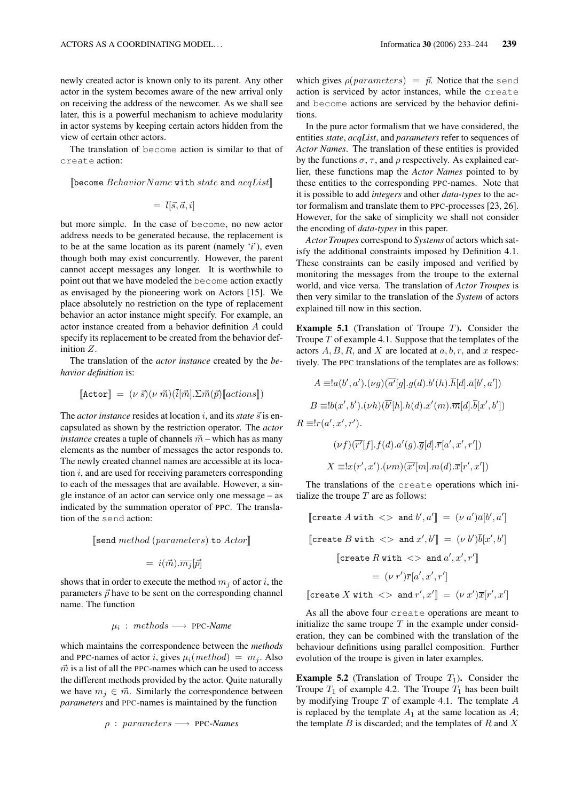newly created actor is known only to its parent. Any other actor in the system becomes aware of the new arrival only on receiving the address of the newcomer. As we shall see later, this is a powerful mechanism to achieve modularity in actor systems by keeping certain actors hidden from the view of certain other actors.

The translation of become action is similar to that of create action:

[become  $BehaviorName$  with state and  $acqList$ ]

$$
= \bar{l}[\vec{s}, \vec{a}, i]
$$

but more simple. In the case of become, no new actor address needs to be generated because, the replacement is to be at the same location as its parent (namely '*i*'), even though both may exist concurrently. However, the parent cannot accept messages any longer. It is worthwhile to point out that we have modeled the become action exactly as envisaged by the pioneering work on Actors [15]. We place absolutely no restriction on the type of replacement behavior an actor instance might specify. For example, an actor instance created from a behavior definition A could specify its replacement to be created from the behavior definition Z.

The translation of the *actor instance* created by the *behavior definition* is:

$$
[\text{Actor}] = (\nu \vec{s})(\nu \vec{m}) (\vec{i}[\vec{m}]. \Sigma \vec{m}(\vec{p}) [\text{actions}])
$$

The *actor instance* resides at location i, and its *state*  $\vec{s}$  is encapsulated as shown by the restriction operator. The *actor instance* creates a tuple of channels  $\vec{m}$  – which has as many elements as the number of messages the actor responds to. The newly created channel names are accessible at its location  $i$ , and are used for receiving parameters corresponding to each of the messages that are available. However, a single instance of an actor can service only one message – as indicated by the summation operator of PPC. The translation of the send action:

 $[\text{send } method \text{ (parameters)} \text{ to } Actor]$ 

$$
= i(\vec{m}).\overline{m_j}[\vec{p}]
$$

shows that in order to execute the method  $m_i$  of actor i, the parameters  $\vec{p}$  have to be sent on the corresponding channel name. The function

$$
\mu_i : \, methods \longrightarrow \, \text{PPC-Name}
$$

which maintains the correspondence between the *methods* and PPC-names of actor *i*, gives  $\mu_i(method) = m_j$ . Also  $\vec{m}$  is a list of all the PPC-names which can be used to access the different methods provided by the actor. Quite naturally we have  $m_j \in \vec{m}$ . Similarly the correspondence between *parameters* and PPC-names is maintained by the function

$$
\rho
$$
: *parameters*  $\longrightarrow$  PPC-Names

which gives  $\rho(parameters) = \vec{p}$ . Notice that the send action is serviced by actor instances, while the create and become actions are serviced by the behavior definitions.

In the pure actor formalism that we have considered, the entities *state*, *acqList*, and *parameters* refer to sequences of *Actor Names*. The translation of these entities is provided by the functions  $\sigma$ ,  $\tau$ , and  $\rho$  respectively. As explained earlier, these functions map the *Actor Names* pointed to by these entities to the corresponding PPC-names. Note that it is possible to add *integers* and other *data-types* to the actor formalism and translate them to PPC-processes [23, 26]. However, for the sake of simplicity we shall not consider the encoding of *data-types* in this paper.

*Actor Troupes* correspond to *Systems* of actors which satisfy the additional constraints imposed by Definition 4.1. These constraints can be easily imposed and verified by monitoring the messages from the troupe to the external world, and vice versa. The translation of *Actor Troupes* is then very similar to the translation of the *System* of actors explained till now in this section.

**Example 5.1** (Translation of Troupe  $T$ ). Consider the Troupe  $T$  of example 4.1. Suppose that the templates of the actors  $A, B, R$ , and X are located at  $a, b, r$ , and x respectively. The PPC translations of the templates are as follows:

$$
A \equiv !a(b', a').(\nu g)(\overline{a'}[g].g(d).b'(h).\overline{h}[d].\overline{a}[b', a'])
$$
  
\n
$$
B \equiv !b(x', b').(\nu h)(\overline{b'}[h].h(d).x'(m).\overline{m}[d].\overline{b}[x', b'])
$$
  
\n
$$
R \equiv !r(a', x', r').
$$
  
\n
$$
(\nu f)(\overline{r'}[f].f(d).a'(g).\overline{g}[d].\overline{r}[a', x', r'])
$$

$$
X \equiv !x(r',x').(\nu m)(\overline{x'}[m].m(d).\overline{x}[r',x'])
$$

The translations of the create operations which initialize the troupe  $T$  are as follows:

 $\llbracket \text{create } A \text{ with } \iff \text{and } b', a' \rrbracket = (\nu \ a') \overline{a}[b', a']$  $\llbracket \texttt{create}\: B \: \texttt{with} \: < > \: \texttt{and}\: x', b' \rrbracket \: = \: (\nu \: b') \overline{b}[x', b']$  $\llbracket$ create  $R$  with  $\ll$  and  $a', x', r' \rrbracket$  $= (\nu \ r')\overline{r}[a', x', r']$ [create X with  $\langle \rangle$  and  $r', x'$ ] =  $(\nu x')\overline{x}[r', x']$ 

As all the above four create operations are meant to initialize the same troupe  $T$  in the example under consideration, they can be combined with the translation of the behaviour definitions using parallel composition. Further evolution of the troupe is given in later examples.

**Example 5.2** (Translation of Troupe  $T_1$ ). Consider the Troupe  $T_1$  of example 4.2. The Troupe  $T_1$  has been built by modifying Troupe  $T$  of example 4.1. The template  $A$ is replaced by the template  $A_1$  at the same location as  $A$ ; the template  $B$  is discarded; and the templates of  $R$  and  $X$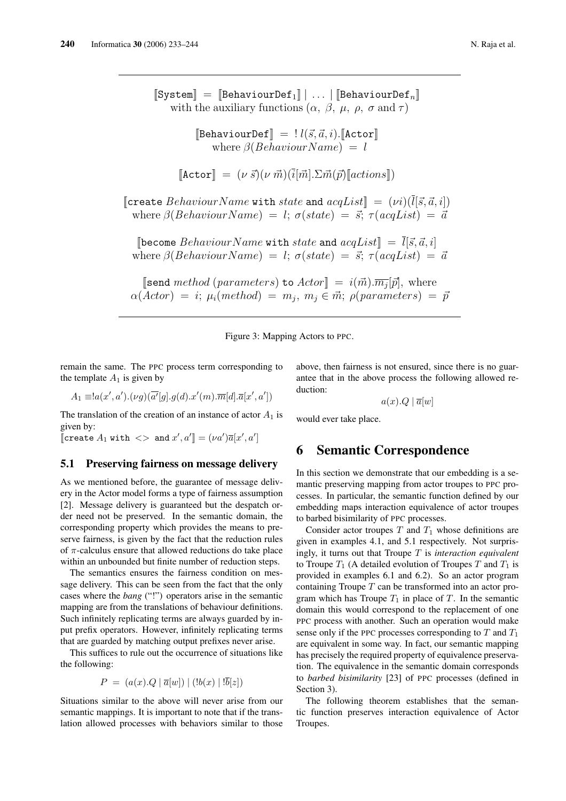$[\text{System}] = [\text{BehaviorDef}_1] | \dots | [\text{BehaviorDef}_n]$ with the auxiliary functions  $(\alpha, \beta, \mu, \rho, \sigma \text{ and } \tau)$  $[\text{BehaviorDef}] = ! \ell(\vec{s}, \vec{a}, i)$ .  $[\text{Action}]$ where  $\beta$ (*BehaviourName*) = l  $[\text{Actor}] = (\nu \vec{s})(\nu \vec{m}) (\vec{i}[\vec{m}]. \Sigma \vec{m}(\vec{p})[\text{actions}])$ [create BehaviourName with state and  $acqList$ ] =  $(\nu i)(\overline{l}[\vec{s}, \vec{a}, i])$ where  $\beta$ (BehaviourName) = l;  $\sigma (state) = \vec{s}$ ;  $\tau (acqList) = \vec{a}$ [become Behaviour Name with state and  $acqList$ ] =  $\overline{l}[\vec{s}, \vec{a}, i]$ where  $\beta$ (BehaviourName) = l;  $\sigma$ (state) =  $\vec{s}$ ;  $\tau$ (acqList) =  $\vec{a}$ [send method (parameters) to  $Actor$ ] =  $i(\vec{m}).\overline{m_j}[\vec{p}]$ , where  $\alpha(Actor) = i; \mu_i(method) = m_j; m_j \in \vec{m}; \rho(parameters) = \bar{p}$ 

Figure 3: Mapping Actors to PPC.

remain the same. The PPC process term corresponding to the template  $A_1$  is given by

$$
A_1 \equiv a(x',a').(\nu g)(\overline{a'}[g].g(d).x'(m).\overline{m}[d].\overline{a}[x',a'])
$$

The translation of the creation of an instance of actor  $A_1$  is given by:

[create  $A_1$  with  $\langle \rangle$  and  $x', a'$ ] =  $(\nu a')\overline{a}[x', a']$ 

#### 5.1 Preserving fairness on message delivery

As we mentioned before, the guarantee of message delivery in the Actor model forms a type of fairness assumption [2]. Message delivery is guaranteed but the despatch order need not be preserved. In the semantic domain, the corresponding property which provides the means to preserve fairness, is given by the fact that the reduction rules of  $\pi$ -calculus ensure that allowed reductions do take place within an unbounded but finite number of reduction steps.

The semantics ensures the fairness condition on message delivery. This can be seen from the fact that the only cases where the *bang* ("!") operators arise in the semantic mapping are from the translations of behaviour definitions. Such infinitely replicating terms are always guarded by input prefix operators. However, infinitely replicating terms that are guarded by matching output prefixes never arise.

This suffices to rule out the occurrence of situations like the following:

$$
P = (a(x).Q | \bar{a}[w]) | (b(x) | \bar{b}[z])
$$

Situations similar to the above will never arise from our semantic mappings. It is important to note that if the translation allowed processes with behaviors similar to those

above, then fairness is not ensured, since there is no guarantee that in the above process the following allowed reduction:

 $a(x).Q | \overline{a}|w$ 

would ever take place.

### 6 Semantic Correspondence

In this section we demonstrate that our embedding is a semantic preserving mapping from actor troupes to PPC processes. In particular, the semantic function defined by our embedding maps interaction equivalence of actor troupes to barbed bisimilarity of PPC processes.

Consider actor troupes  $T$  and  $T_1$  whose definitions are given in examples 4.1, and 5.1 respectively. Not surprisingly, it turns out that Troupe T is *interaction equivalent* to Troupe  $T_1$  (A detailed evolution of Troupes T and  $T_1$  is provided in examples 6.1 and 6.2). So an actor program containing Troupe  $T$  can be transformed into an actor program which has Troupe  $T_1$  in place of T. In the semantic domain this would correspond to the replacement of one PPC process with another. Such an operation would make sense only if the PPC processes corresponding to  $T$  and  $T_1$ are equivalent in some way. In fact, our semantic mapping has precisely the required property of equivalence preservation. The equivalence in the semantic domain corresponds to *barbed bisimilarity* [23] of PPC processes (defined in Section 3).

The following theorem establishes that the semantic function preserves interaction equivalence of Actor Troupes.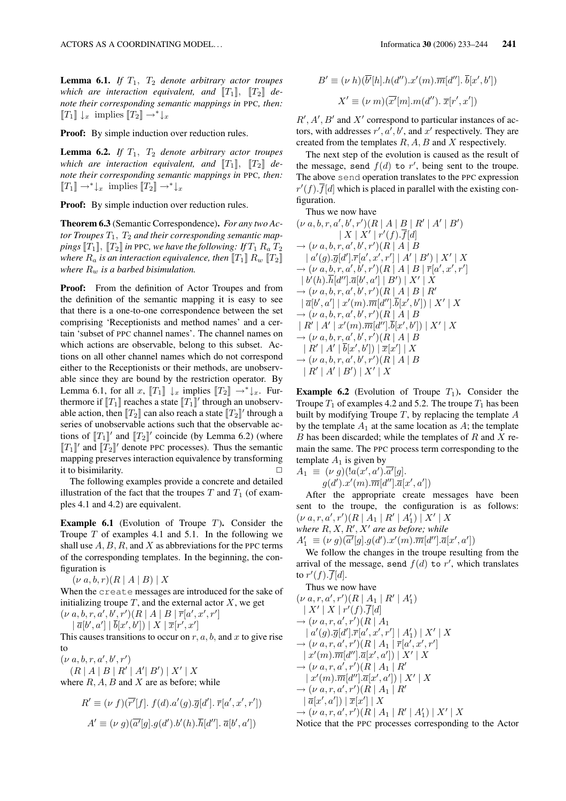**Lemma 6.1.** *If*  $T_1$ ,  $T_2$  *denote arbitrary actor troupes* which are interaction equivalent, and  $[[T_1]]$ ,  $[[T_2]]$  de*note their corresponding semantic mappings in* PPC*, then:*  $[T_1] \downarrow_x$  implies  $[T_2] \rightarrow^* \downarrow_x$ 

**Proof:** By simple induction over reduction rules.

**Lemma 6.2.** *If*  $T_1$ ,  $T_2$  *denote arbitrary actor troupes* which are interaction equivalent, and  $[[T_1]]$ ,  $[[T_2]]$  de*note their corresponding semantic mappings in* PPC*, then:*  $[T_1] \rightarrow^* \downarrow_x$  implies  $[T_2] \rightarrow^* \downarrow_x$ 

Proof: By simple induction over reduction rules.

Theorem 6.3 (Semantic Correspondence). *For any two Ac*tor Troupes  $T_1$ ,  $T_2$  and their corresponding semantic map*pings*  $[T_1]$ ,  $[T_2]$  *in* PPC, we have the following: If  $T_1 R_a T_2$ *where*  $R_a$  *is an interaction equivalence, then*  $[[T_1]] R_w [[T_2]]$ *where*  $R_w$  *is a barbed bisimulation.* 

**Proof:** From the definition of Actor Troupes and from the definition of the semantic mapping it is easy to see that there is a one-to-one correspondence between the set comprising 'Receptionists and method names' and a certain 'subset of PPC channel names'. The channel names on which actions are observable, belong to this subset. Actions on all other channel names which do not correspond either to the Receptionists or their methods, are unobservable since they are bound by the restriction operator. By Lemma 6.1, for all x,  $[T_1] \downarrow_x$  implies  $[T_2] \rightarrow^* \downarrow_x$ . Furthermore if  $[[T_1]]$  reaches a state  $[[T_1]]'$  through an unobservable action, then  $[\![T_2]\!]$  can also reach a state  $[\![T_2]\!]'$  through a series of unobservable actions such that the observable actions of  $[[T_1]]'$  and  $[[T_2]]'$  coincide (by Lemma 6.2) (where  $[[T_1]]'$  and  $[[T_2]]'$  denote PPC processes). Thus the semantic mapping preserves interaction equivalence by transforming it to bisimilarity.  $\Box$ 

The following examples provide a concrete and detailed illustration of the fact that the troupes  $T$  and  $T_1$  (of examples 4.1 and 4.2) are equivalent.

**Example 6.1** (Evolution of Troupe  $T$ ). Consider the Troupe  $T$  of examples 4.1 and 5.1. In the following we shall use  $A, B, R$ , and X as abbreviations for the PPC terms of the corresponding templates. In the beginning, the configuration is

 $(\nu a, b, r)(R | A | B) | X$ 

When the create messages are introduced for the sake of initializing troupe  $T$ , and the external actor  $X$ , we get  $(\nu a, b, r, a', b', r') (R | A | B | \bar{r}[a', x', r']$ 

 $|\overline{a}[b', a'] | \overline{b}[x', b']) | X | \overline{x}[r', x']$ 

This causes transitions to occur on  $r, a, b$ , and  $x$  to give rise to

 $(\nu a, b, r, a', b', r')$  $(R | A | B | R' | A' | B') | X' | X$ 

where  $R$ ,  $A$ ,  $B$  and  $X$  are as before; while

$$
R' \equiv (\nu f)(\overline{r'}[f]. f(d).a'(g).\overline{g}[d']. \overline{r}[a',x',r'])
$$
  

$$
A' \equiv (\nu g)(\overline{a'}[g].g(d').b'(h).\overline{h}[d''], \overline{a}[b',a'])
$$

$$
B' \equiv (\nu h)(\overline{b'}[h].h(d'').x'(m).\overline{m}[d''].\overline{b}[x',b'])
$$

$$
X' \equiv (\nu m)(\overline{x'}[m].m(d'').\overline{x}[r',x'])
$$

 $R', A', B'$  and  $X'$  correspond to particular instances of actors, with addresses  $r', a', b'$ , and  $x'$  respectively. They are created from the templates  $R$ ,  $A$ ,  $B$  and  $X$  respectively.

The next step of the evolution is caused as the result of the message, send  $f(d)$  to r', being sent to the troupe. The above send operation translates to the PPC expression  $r'(f)$ .  $\overline{f}[d]$  which is placed in parallel with the existing configuration.

Thus we now have

$$
(\nu a, b, r, a', b', r')(R | A | B | R' | A' | B') | X | X' | r'(f). $\overline{f}[d]$   
\n $\rightarrow (\nu a, b, r, a', b', r')(R | A | B | a'(g). $\overline{g}[d'].\overline{r}[a', x', r'] | A' | B') | X' | X$   
\n $\rightarrow (\nu a, b, r, a', b', r')(R | A | B | \overline{r}[a', x', r'] | b'(h). $\overline{h}[d''].\overline{a}[b', a'] | B') | X' | X$   
\n $\rightarrow (\nu a, b, r, a', b', r')(R | A | B | R'$   
\n $| \overline{a}[b', a'] | x'(m). $\overline{m}[d''].\overline{b}[x', b']) | X' | X$   
\n $\rightarrow (\nu a, b, r, a', b', r')(R | A | B$   
\n $| R' | A' | x'(m). $\overline{m}[d''].\overline{b}[x', b']) | X' | X$   
\n $\rightarrow (\nu a, b, r, a', b', r')(R | A | B$   
\n $| R' | A' | \overline{b}[x', b']) | \overline{x}[x'] | X$   
\n $\rightarrow (\nu a, b, r, a', b', r')(R | A | B$   
\n $| R' | A' | B') | X' | X$$$$$
$$

**Example 6.2** (Evolution of Troupe  $T_1$ ). Consider the Troupe  $T_1$  of examples 4.2 and 5.2. The troupe  $T_1$  has been built by modifying Troupe  $T$ , by replacing the template  $A$ by the template  $A_1$  at the same location as  $A$ ; the template B has been discarded; while the templates of  $R$  and  $X$  remain the same. The PPC process term corresponding to the template  $A_1$  is given by

$$
A_1 \equiv (\nu g)(!a(x',a').\overline{a'}[g].
$$
  
 
$$
g(d').x'(m).\overline{m}[d''].\overline{a}[x',a'])
$$

After the appropriate create messages have been sent to the troupe, the configuration is as follows:  $(\nu a, r, a', r') (R | A_1 | R' | A'_1) | X' | X$ where  $R, X, R', X'$  are as before; while  $A'_1 \equiv (\nu g)(\overline{a'}[g].g(d').x'(m).\overline{m}[d'']. \overline{a}[x',a'])$ 

We follow the changes in the troupe resulting from the arrival of the message, send  $f(d)$  to r', which translates to  $r'(f)$ .  $\overline{f}[d]$ .

Thus we now have  $(\nu a, r, a', r')(R | A_1 | R' | A'_1)$  $| X' | X | r'(f).\overline{f}[d]$  $\rightarrow$   $(\nu a, r, a', r')$  $(R \mid A_1)$  $\mid a'(g).\overline{g}[d'].\overline{r}[a',x',r'] \mid A_1'\rangle \mid X'\mid X$  $\rightarrow (\nu \ a, r, a', r') (R \mid A_1 \mid \overline{r}[a', x', r']$  $\vert x'(m).\overline{m}[d''].\overline{a}[x',a']) \vert X' \vert X$  $\rightarrow (\nu a, r, a', r') (R | A_1 | R')$  $\vert x'(m).\overline{m}[d''].\overline{a}[x',a'])\vert X'\vert X$  $\rightarrow (\nu a, r, a', r') (R | A_1 | R')$  $|\overline{a}[x', a']|\, |\overline{x}[x']| \, |X$  $\rightarrow (\nu \ a, r, a', r') (R \mid A_1 \mid R' \mid A_1') \mid X' \mid X$ 

Notice that the PPC processes corresponding to the Actor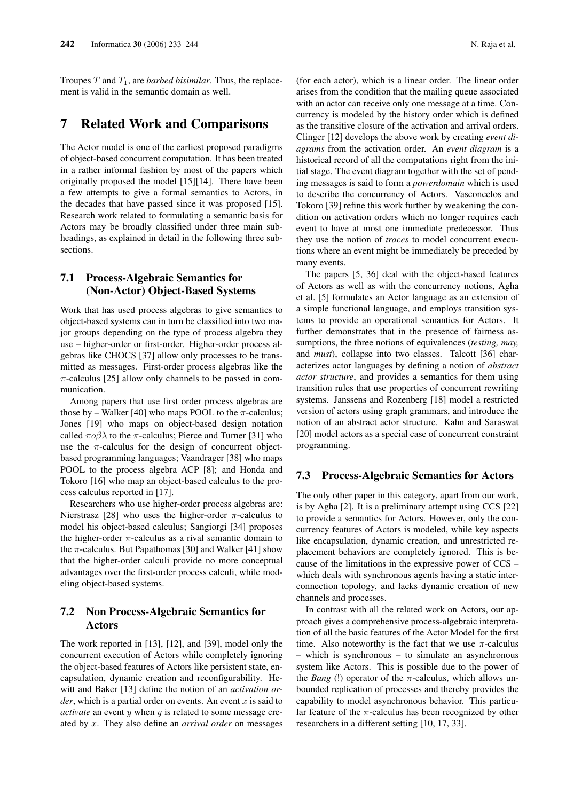Troupes  $T$  and  $T_1$ , are *barbed bisimilar*. Thus, the replacement is valid in the semantic domain as well.

### 7 Related Work and Comparisons

The Actor model is one of the earliest proposed paradigms of object-based concurrent computation. It has been treated in a rather informal fashion by most of the papers which originally proposed the model [15][14]. There have been a few attempts to give a formal semantics to Actors, in the decades that have passed since it was proposed [15]. Research work related to formulating a semantic basis for Actors may be broadly classified under three main subheadings, as explained in detail in the following three subsections.

### 7.1 Process-Algebraic Semantics for (Non-Actor) Object-Based Systems

Work that has used process algebras to give semantics to object-based systems can in turn be classified into two major groups depending on the type of process algebra they use – higher-order or first-order. Higher-order process algebras like CHOCS [37] allow only processes to be transmitted as messages. First-order process algebras like the  $\pi$ -calculus [25] allow only channels to be passed in communication.

Among papers that use first order process algebras are those by – Walker [40] who maps POOL to the  $\pi$ -calculus; Jones [19] who maps on object-based design notation called  $\pi \circ \beta \lambda$  to the  $\pi$ -calculus; Pierce and Turner [31] who use the  $\pi$ -calculus for the design of concurrent objectbased programming languages; Vaandrager [38] who maps POOL to the process algebra ACP [8]; and Honda and Tokoro [16] who map an object-based calculus to the process calculus reported in [17].

Researchers who use higher-order process algebras are: Nierstrasz [28] who uses the higher-order  $\pi$ -calculus to model his object-based calculus; Sangiorgi [34] proposes the higher-order  $\pi$ -calculus as a rival semantic domain to the  $\pi$ -calculus. But Papathomas [30] and Walker [41] show that the higher-order calculi provide no more conceptual advantages over the first-order process calculi, while modeling object-based systems.

#### 7.2 Non Process-Algebraic Semantics for Actors

The work reported in [13], [12], and [39], model only the concurrent execution of Actors while completely ignoring the object-based features of Actors like persistent state, encapsulation, dynamic creation and reconfigurability. Hewitt and Baker [13] define the notion of an *activation or* $der$ , which is a partial order on events. An event  $x$  is said to *activate* an event y when y is related to some message created by x. They also define an *arrival order* on messages (for each actor), which is a linear order. The linear order arises from the condition that the mailing queue associated with an actor can receive only one message at a time. Concurrency is modeled by the history order which is defined as the transitive closure of the activation and arrival orders. Clinger [12] develops the above work by creating *event diagrams* from the activation order. An *event diagram* is a historical record of all the computations right from the initial stage. The event diagram together with the set of pending messages is said to form a *powerdomain* which is used to describe the concurrency of Actors. Vasconcelos and Tokoro [39] refine this work further by weakening the condition on activation orders which no longer requires each event to have at most one immediate predecessor. Thus they use the notion of *traces* to model concurrent executions where an event might be immediately be preceded by many events.

The papers [5, 36] deal with the object-based features of Actors as well as with the concurrency notions, Agha et al. [5] formulates an Actor language as an extension of a simple functional language, and employs transition systems to provide an operational semantics for Actors. It further demonstrates that in the presence of fairness assumptions, the three notions of equivalences (*testing, may,* and *must*), collapse into two classes. Talcott [36] characterizes actor languages by defining a notion of *abstract actor structure*, and provides a semantics for them using transition rules that use properties of concurrent rewriting systems. Janssens and Rozenberg [18] model a restricted version of actors using graph grammars, and introduce the notion of an abstract actor structure. Kahn and Saraswat [20] model actors as a special case of concurrent constraint programming.

#### 7.3 Process-Algebraic Semantics for Actors

The only other paper in this category, apart from our work, is by Agha [2]. It is a preliminary attempt using CCS [22] to provide a semantics for Actors. However, only the concurrency features of Actors is modeled, while key aspects like encapsulation, dynamic creation, and unrestricted replacement behaviors are completely ignored. This is because of the limitations in the expressive power of CCS – which deals with synchronous agents having a static interconnection topology, and lacks dynamic creation of new channels and processes.

In contrast with all the related work on Actors, our approach gives a comprehensive process-algebraic interpretation of all the basic features of the Actor Model for the first time. Also noteworthy is the fact that we use  $\pi$ -calculus – which is synchronous – to simulate an asynchronous system like Actors. This is possible due to the power of the *Bang* (!) operator of the  $\pi$ -calculus, which allows unbounded replication of processes and thereby provides the capability to model asynchronous behavior. This particular feature of the  $\pi$ -calculus has been recognized by other researchers in a different setting [10, 17, 33].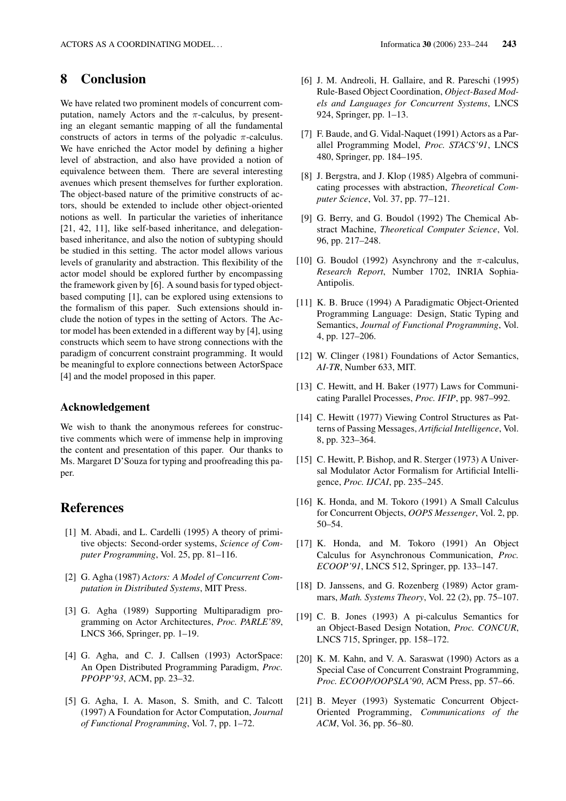# 8 Conclusion

We have related two prominent models of concurrent computation, namely Actors and the  $\pi$ -calculus, by presenting an elegant semantic mapping of all the fundamental constructs of actors in terms of the polyadic  $\pi$ -calculus. We have enriched the Actor model by defining a higher level of abstraction, and also have provided a notion of equivalence between them. There are several interesting avenues which present themselves for further exploration. The object-based nature of the primitive constructs of actors, should be extended to include other object-oriented notions as well. In particular the varieties of inheritance [21, 42, 11], like self-based inheritance, and delegationbased inheritance, and also the notion of subtyping should be studied in this setting. The actor model allows various levels of granularity and abstraction. This flexibility of the actor model should be explored further by encompassing the framework given by [6]. A sound basis for typed objectbased computing [1], can be explored using extensions to the formalism of this paper. Such extensions should include the notion of types in the setting of Actors. The Actor model has been extended in a different way by [4], using constructs which seem to have strong connections with the paradigm of concurrent constraint programming. It would be meaningful to explore connections between ActorSpace [4] and the model proposed in this paper.

#### Acknowledgement

We wish to thank the anonymous referees for constructive comments which were of immense help in improving the content and presentation of this paper. Our thanks to Ms. Margaret D'Souza for typing and proofreading this paper.

## References

- [1] M. Abadi, and L. Cardelli (1995) A theory of primitive objects: Second-order systems, *Science of Computer Programming*, Vol. 25, pp. 81–116.
- [2] G. Agha (1987) *Actors: A Model of Concurrent Computation in Distributed Systems*, MIT Press.
- [3] G. Agha (1989) Supporting Multiparadigm programming on Actor Architectures, *Proc. PARLE'89*, LNCS 366, Springer, pp. 1–19.
- [4] G. Agha, and C. J. Callsen (1993) ActorSpace: An Open Distributed Programming Paradigm, *Proc. PPOPP'93*, ACM, pp. 23–32.
- [5] G. Agha, I. A. Mason, S. Smith, and C. Talcott (1997) A Foundation for Actor Computation, *Journal of Functional Programming*, Vol. 7, pp. 1–72.
- [6] J. M. Andreoli, H. Gallaire, and R. Pareschi (1995) Rule-Based Object Coordination, *Object-Based Models and Languages for Concurrent Systems*, LNCS 924, Springer, pp. 1–13.
- [7] F. Baude, and G. Vidal-Naquet (1991) Actors as a Parallel Programming Model, *Proc. STACS'91*, LNCS 480, Springer, pp. 184–195.
- [8] J. Bergstra, and J. Klop (1985) Algebra of communicating processes with abstraction, *Theoretical Computer Science*, Vol. 37, pp. 77–121.
- [9] G. Berry, and G. Boudol (1992) The Chemical Abstract Machine, *Theoretical Computer Science*, Vol. 96, pp. 217–248.
- [10] G. Boudol (1992) Asynchrony and the  $\pi$ -calculus, *Research Report*, Number 1702, INRIA Sophia-Antipolis.
- [11] K. B. Bruce (1994) A Paradigmatic Object-Oriented Programming Language: Design, Static Typing and Semantics, *Journal of Functional Programming*, Vol. 4, pp. 127–206.
- [12] W. Clinger (1981) Foundations of Actor Semantics, *AI-TR*, Number 633, MIT.
- [13] C. Hewitt, and H. Baker (1977) Laws for Communicating Parallel Processes, *Proc. IFIP*, pp. 987–992.
- [14] C. Hewitt (1977) Viewing Control Structures as Patterns of Passing Messages, *Artificial Intelligence*, Vol. 8, pp. 323–364.
- [15] C. Hewitt, P. Bishop, and R. Sterger (1973) A Universal Modulator Actor Formalism for Artificial Intelligence, *Proc. IJCAI*, pp. 235–245.
- [16] K. Honda, and M. Tokoro (1991) A Small Calculus for Concurrent Objects, *OOPS Messenger*, Vol. 2, pp. 50–54.
- [17] K. Honda, and M. Tokoro (1991) An Object Calculus for Asynchronous Communication, *Proc. ECOOP'91*, LNCS 512, Springer, pp. 133–147.
- [18] D. Janssens, and G. Rozenberg (1989) Actor grammars, *Math. Systems Theory*, Vol. 22 (2), pp. 75–107.
- [19] C. B. Jones (1993) A pi-calculus Semantics for an Object-Based Design Notation, *Proc. CONCUR*, LNCS 715, Springer, pp. 158–172.
- [20] K. M. Kahn, and V. A. Saraswat (1990) Actors as a Special Case of Concurrent Constraint Programming, *Proc. ECOOP/OOPSLA'90*, ACM Press, pp. 57–66.
- [21] B. Meyer (1993) Systematic Concurrent Object-Oriented Programming, *Communications of the ACM*, Vol. 36, pp. 56–80.